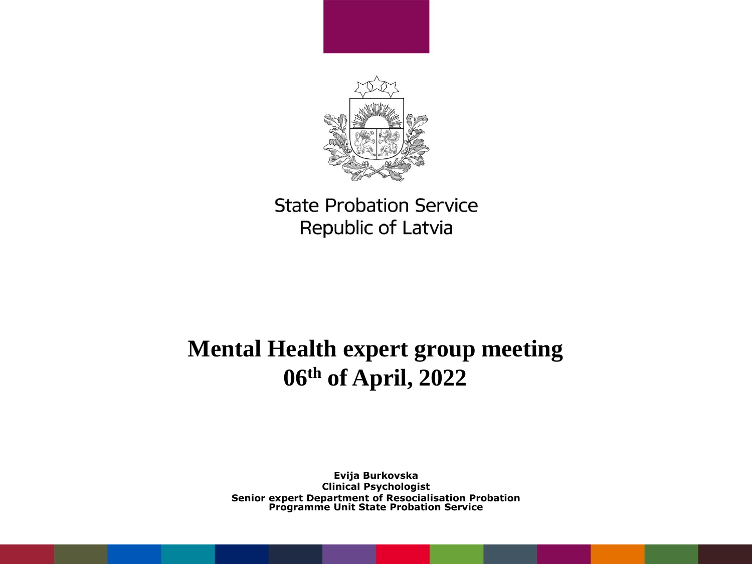

## **Mental Health expert group meeting 06th of April, 2022**

**Evija Burkovska Clinical Psychologist Senior expert Department of Resocialisation Probation Programme Unit State Probation Service**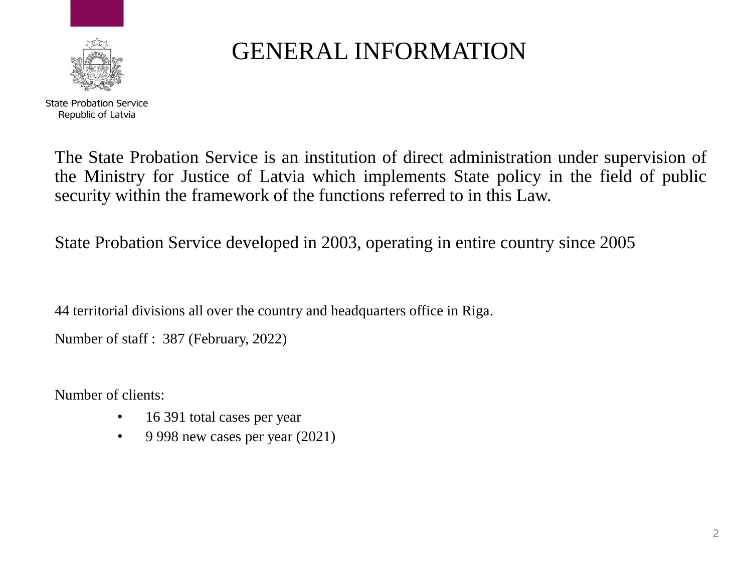

## GENERAL INFORMATION

The State Probation Service is an institution of direct administration under supervision of the Ministry for Justice of Latvia which implements State policy in the field of public security within the framework of the functions referred to in this Law.

State Probation Service developed in 2003, operating in entire country since 2005

44 territorial divisions all over the country and headquarters office in Riga.

Number of staff : 387 (February, 2022)

Number of clients:

- 16 391 total cases per year
- 9 998 new cases per year  $(2021)$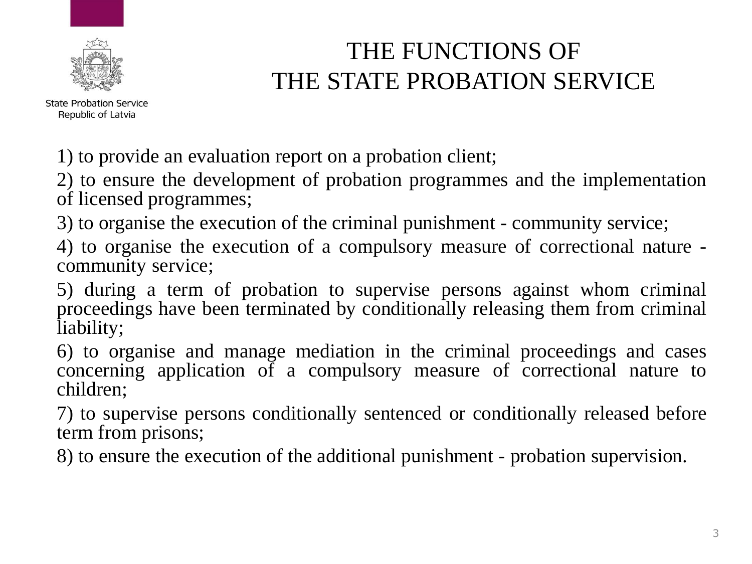

# THE FUNCTIONS OF THE STATE PROBATION SERVICE

1) to provide an evaluation report on a probation client;

2) to ensure the development of probation programmes and the implementation of licensed programmes;

3) to organise the execution of the criminal punishment - community service;

4) to organise the execution of a compulsory measure of correctional nature community service;

5) during a term of probation to supervise persons against whom criminal proceedings have been terminated by conditionally releasing them from criminal liability;

6) to organise and manage mediation in the criminal proceedings and cases concerning application of a compulsory measure of correctional nature to children;

7) to supervise persons conditionally sentenced or conditionally released before term from prisons;

8) to ensure the execution of the additional punishment - probation supervision.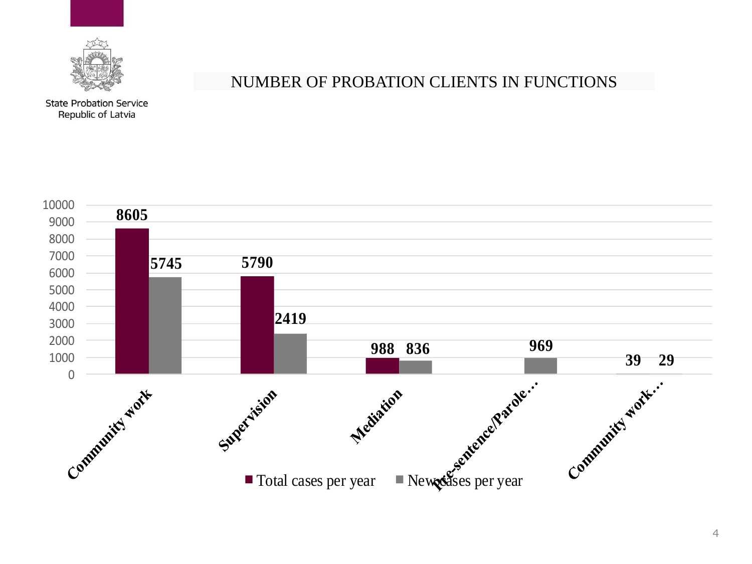

#### NUMBER OF PROBATION CLIENTS IN FUNCTIONS

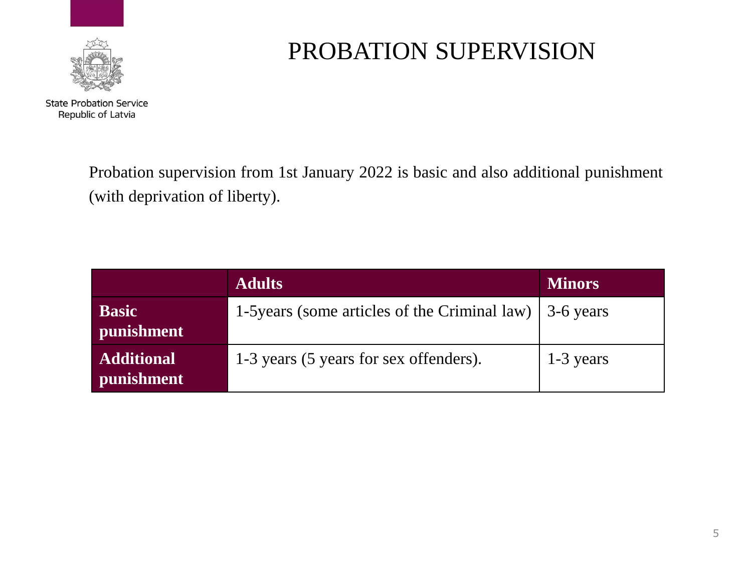

# PROBATION SUPERVISION

Probation supervision from 1st January 2022 is basic and also additional punishment (with deprivation of liberty).

|                                        | <b>Adults</b>                                           | <b>Minors</b> |
|----------------------------------------|---------------------------------------------------------|---------------|
| <b>Basic</b><br>punishment             | 1-5 years (some articles of the Criminal law) 3-6 years |               |
| <b>Additional</b><br><b>punishment</b> | 1-3 years (5 years for sex offenders).                  | $1-3$ years   |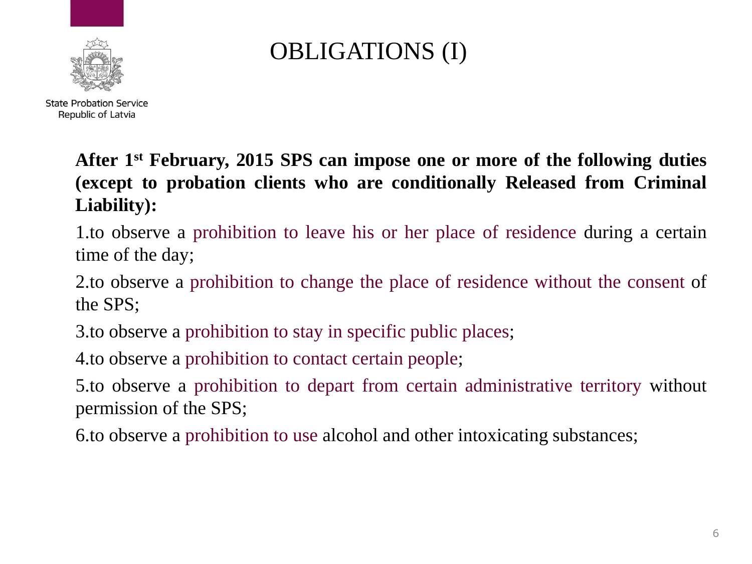

# OBLIGATIONS (I)

**After 1 st February, 2015 SPS can impose one or more of the following duties (except to probation clients who are conditionally Released from Criminal Liability):**

1.to observe a prohibition to leave his or her place of residence during a certain time of the day;

2.to observe a prohibition to change the place of residence without the consent of the SPS;

3.to observe a prohibition to stay in specific public places;

4.to observe a prohibition to contact certain people;

5.to observe a prohibition to depart from certain administrative territory without permission of the SPS;

6.to observe a prohibition to use alcohol and other intoxicating substances;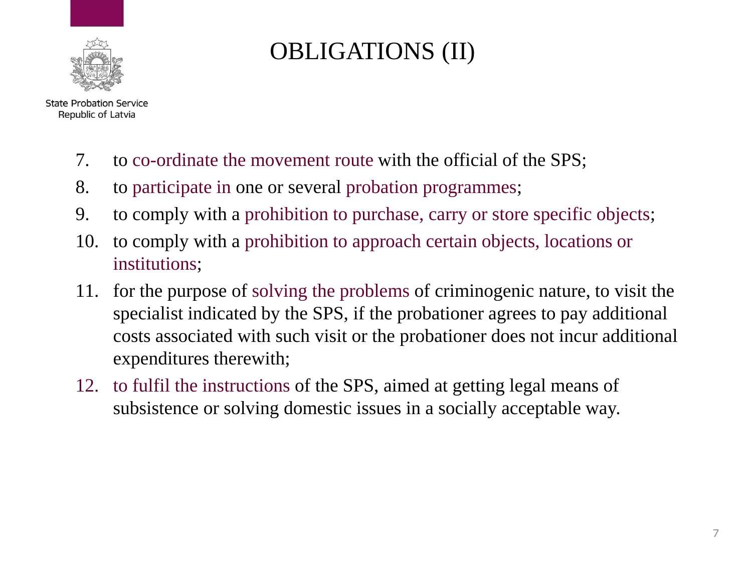

# OBLIGATIONS (II)

- 7. to co-ordinate the movement route with the official of the SPS;
- 8. to participate in one or several probation programmes;
- 9. to comply with a prohibition to purchase, carry or store specific objects;
- 10. to comply with a prohibition to approach certain objects, locations or institutions;
- 11. for the purpose of solving the problems of criminogenic nature, to visit the specialist indicated by the SPS, if the probationer agrees to pay additional costs associated with such visit or the probationer does not incur additional expenditures therewith;
- 12. to fulfil the instructions of the SPS, aimed at getting legal means of subsistence or solving domestic issues in a socially acceptable way.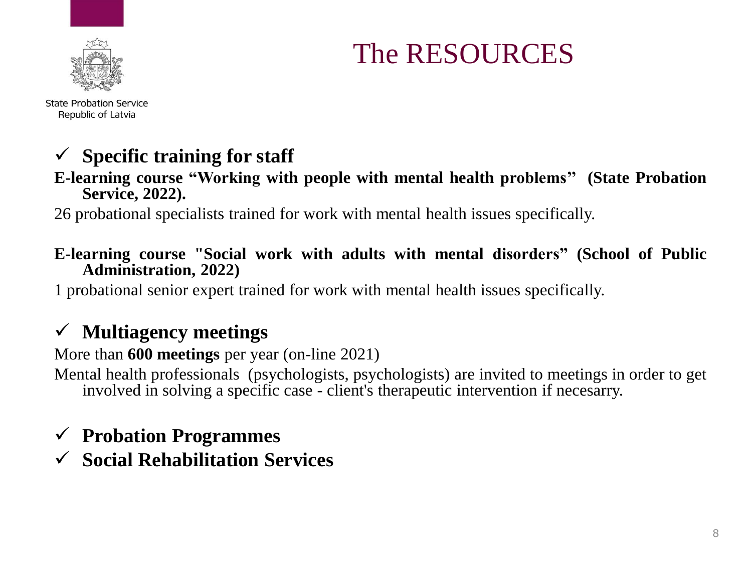

The RESOURCES

**State Probation Service** Republic of Latvia

## ✓ **Specific training for staff**

#### **E-learning course "Working with people with mental health problems'' (State Probation Service, 2022).**

26 probational specialists trained for work with mental health issues specifically.

#### **E-learning course "Social work with adults with mental disorders" (School of Public Administration, 2022)**

1 probational senior expert trained for work with mental health issues specifically.

## ✓ **Multiagency meetings**

More than **600 meetings** per year (on-line 2021)

Mental health professionals (psychologists, psychologists) are invited to meetings in order to get involved in solving a specific case - client's therapeutic intervention if necesarry.

### ✓ **Probation Programmes**

✓ **Social Rehabilitation Services**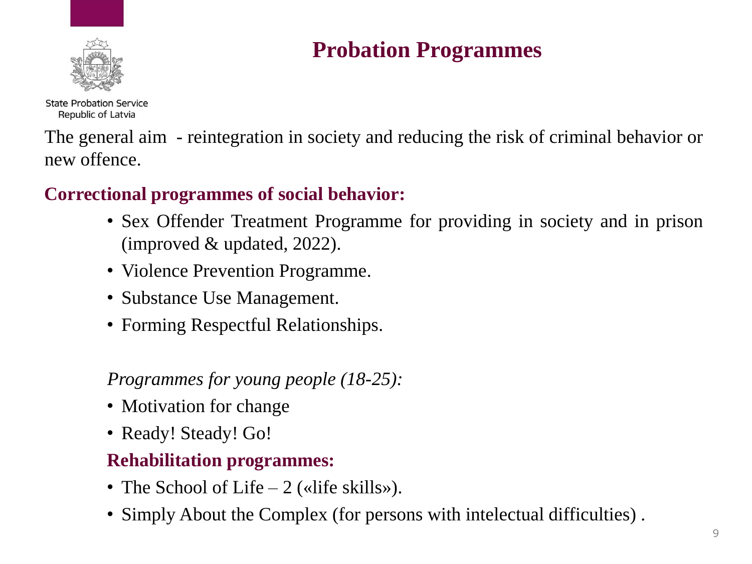

## **Probation Programmes**

**State Probation Service** Republic of Latvia

The general aim - reintegration in society and reducing the risk of criminal behavior or new offence.

### **Correctional programmes of social behavior:**

- Sex Offender Treatment Programme for providing in society and in prison (improved & updated, 2022).
- Violence Prevention Programme.
- Substance Use Management.
- Forming Respectful Relationships.

### *Programmes for young people (18-25):*

- Motivation for change
- Ready! Steady! Go!

### **Rehabilitation programmes:**

- The School of Life 2 («life skills»).
- Simply About the Complex (for persons with intelectual difficulties) .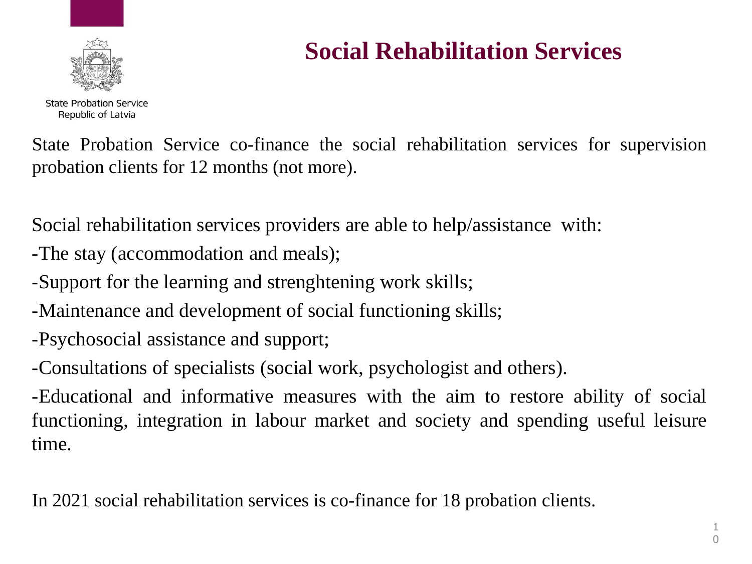

# **Social Rehabilitation Services**

State Probation Service co-finance the social rehabilitation services for supervision probation clients for 12 months (not more).

Social rehabilitation services providers are able to help/assistance with:

-The stay (accommodation and meals);

-Support for the learning and strenghtening work skills;

-Maintenance and development of social functioning skills;

-Psychosocial assistance and support;

-Consultations of specialists (social work, psychologist and others).

-Educational and informative measures with the aim to restore ability of social functioning, integration in labour market and society and spending useful leisure time.

In 2021 social rehabilitation services is co-finance for 18 probation clients.